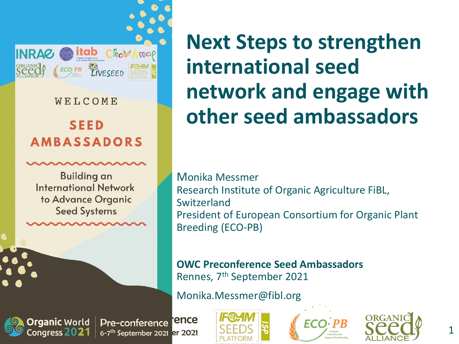

WELCOME

#### **SEED AMBASSADORS**

**Building an International Network** to Advance Organic **Seed Systems** 

**Next Steps to strengthen international seed network and engage with other seed ambassadors**

Monika Messmer Research Institute of Organic Agriculture FiBL, Switzerland President of European Consortium for Organic Plant Breeding (ECO-PB)

**OWC Preconference Seed Ambassadors** Rennes, 7th September 2021

Monika.Messmer@fibl.org



ence Pre-conference 6-7<sup>th</sup> September 2021 er 2021





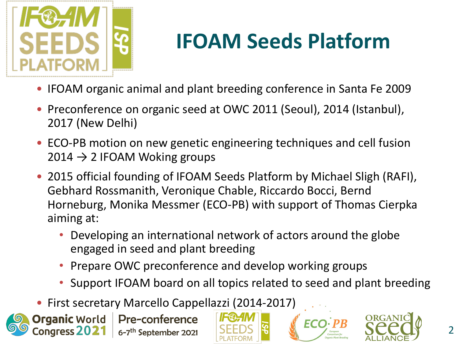

# **IFOAM Seeds Platform**

- IFOAM organic animal and plant breeding conference in Santa Fe 2009
- Preconference on organic seed at OWC 2011 (Seoul), 2014 (Istanbul), 2017 (New Delhi)
- ECO-PB motion on new genetic engineering techniques and cell fusion  $2014 \rightarrow 2$  IFOAM Woking groups
- 2015 official founding of IFOAM Seeds Platform by Michael Sligh (RAFI), Gebhard Rossmanith, Veronique Chable, Riccardo Bocci, Bernd Horneburg, Monika Messmer (ECO-PB) with support of Thomas Cierpka aiming at:
	- Developing an international network of actors around the globe engaged in seed and plant breeding
	- Prepare OWC preconference and develop working groups
	- Support IFOAM board on all topics related to seed and plant breeding
- First secretary Marcello Cappellazzi (2014-2017)







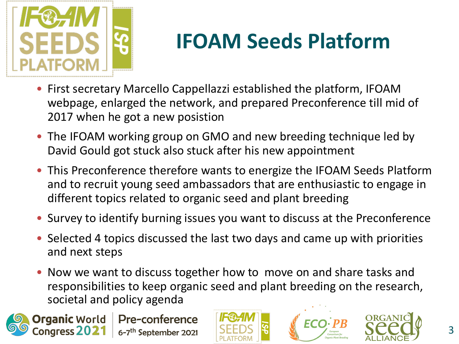

## **IFOAM Seeds Platform**

- First secretary Marcello Cappellazzi established the platform, IFOAM webpage, enlarged the network, and prepared Preconference till mid of 2017 when he got a new posistion
- The IFOAM working group on GMO and new breeding technique led by David Gould got stuck also stuck after his new appointment
- This Preconference therefore wants to energize the IFOAM Seeds Platform and to recruit young seed ambassadors that are enthusiastic to engage in different topics related to organic seed and plant breeding
- Survey to identify burning issues you want to discuss at the Preconference
- Selected 4 topics discussed the last two days and came up with priorities and next steps
- Now we want to discuss together how to move on and share tasks and responsibilities to keep organic seed and plant breeding on the research, societal and policy agenda







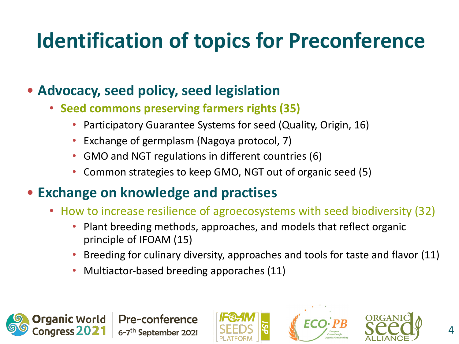## **Identification of topics for Preconference**

#### • **Advocacy, seed policy, seed legislation**

- **Seed commons preserving farmers rights (35)**
	- Participatory Guarantee Systems for seed (Quality, Origin, 16)
	- Exchange of germplasm (Nagoya protocol, 7)
	- GMO and NGT regulations in different countries (6)
	- Common strategies to keep GMO, NGT out of organic seed (5)

#### • **Exchange on knowledge and practises**

**Pre-conference** 

6-7<sup>th</sup> September 2021

- How to increase resilience of agroecosystems with seed biodiversity (32)
	- Plant breeding methods, approaches, and models that reflect organic principle of IFOAM (15)
	- Breeding for culinary diversity, approaches and tools for taste and flavor (11)
	- Multiactor-based breeding apporaches (11)







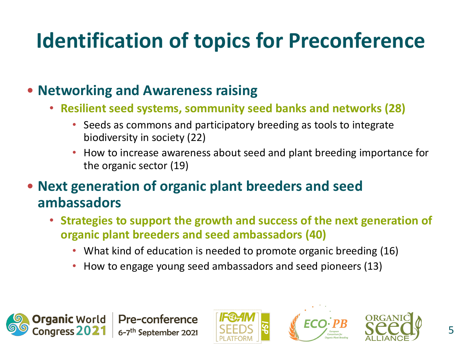## **Identification of topics for Preconference**

#### • **Networking and Awareness raising**

**Pre-conference** 

6-7<sup>th</sup> September 2021

- **Resilient seed systems, sommunity seed banks and networks (28)**
	- Seeds as commons and participatory breeding as tools to integrate biodiversity in society (22)
	- How to increase awareness about seed and plant breeding importance for the organic sector (19)
- **Next generation of organic plant breeders and seed ambassadors**
	- **Strategies to support the growth and success of the next generation of organic plant breeders and seed ambassadors (40)**
		- What kind of education is needed to promote organic breeding (16)
		- How to engage young seed ambassadors and seed pioneers (13)







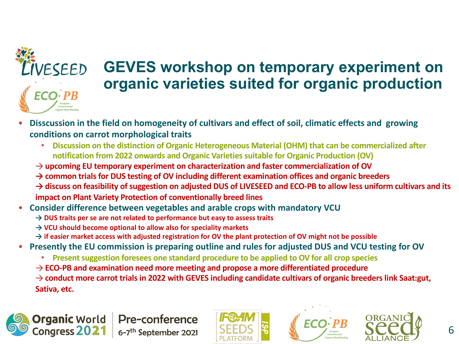

### **GEVES workshop on temporary experiment on organic varieties suited for organic production**

- **Disscussion in the field on homogeneity of cultivars and effect of soil, climatic effects and growing conditions on carrot morphological traits**
	- **Discussion on the distinction of Organic Heterogeneous Material (OHM) that can be commercialized after notification from 2022 onwards and Organic Varieties suitable for Organic Production (OV)**
	- → **upcoming EU temporary experiment on characterization and faster commercialization of OV**
	- **→ common trials for DUS testing of OV including different examination offices and organic breeders**
	- **→ discuss on feasibility of suggestion on adjusted DUS of LIVESEED and ECO-PB to allow less uniform cultivars and its impact on Plant Variety Protection of conventionally breed lines**
- **Consider difference between vegetables and arable crops with mandatory VCU**
	- **→ DUS traits per se are not related to performance but easy to assess traits**
	- **→ VCU should become optional to allow also for speciality markets**
	- **→ if easier market access with adjusted registration for OV the plant protection of OV might not be possible**
- **Presently the EU commission is preparing outline and rules for adjusted DUS and VCU testing for OV**
	- **Present suggestion foresees one standard procedure to be applied to OV for all crop species**
	- → **ECO-PB and examination need more meeting and propose a more differentiated procedure**

→ **conduct more carrot trials in 2022 with GEVES including candidate cultivars of organic breeders link Saat:gut, Sativa, etc.** 







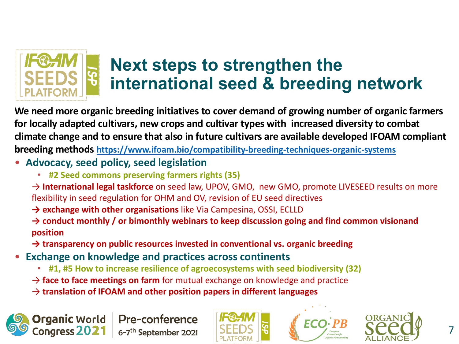

### **Next steps to strengthen the international seed & breeding netv**

We need more organic breeding initiatives to cover demand of growing number of org for locally adapted cultivars, new crops and cultivar types with increased diversity to **c** climate change and to ensure that also in future cultivars are available developed IFOA **breeding methods https://www.ifoam.bio/compatibility-breeding-techniques-organic-systems**

- **Advocacy, seed policy, seed legislation**
	- **#2 Seed commons preserving farmers rights (35)**
	- → **International legal taskforce** on seed law, UPOV, GMO, new GMO, promote LIVESEED results flexibility in seed regulation for OHM and OV, revision of EU seed directives
	- → **exchange with other organisations** like Via Campesina, OSSI, ECLLD

→ conduct monthly / or bimonthly webinars to keep discussion going and find common vis **position**

**→ transparency on public resources invested in conventional vs. organic breeding**

- **Exchange on knowledge and practices across continents**
	- **#1, #5 How to increase resilience of agroecosystems with seed biodiversity (32)**
	- → **face to face meetings on farm** for mutual exchange on knowledge and practice
	- → **translation of IFOAM and other position papers in different languages**



**Organic** World

Congress 2021